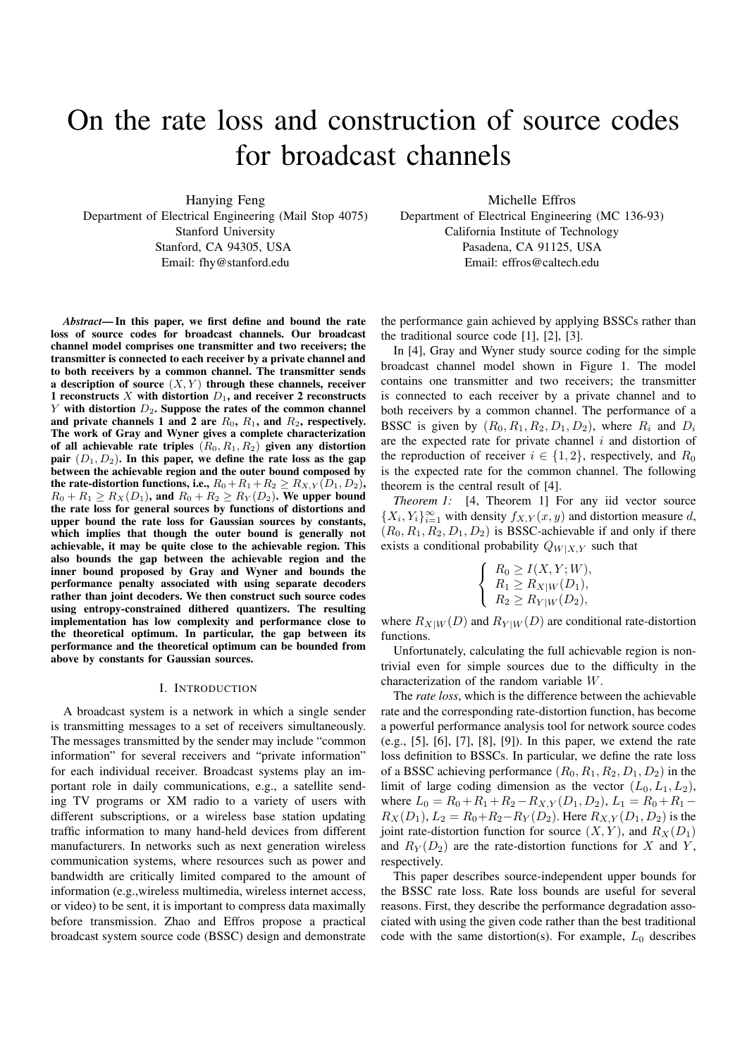# On the rate loss and construction of source codes for broadcast channels

Hanying Feng Department of Electrical Engineering (Mail Stop 4075) Stanford University Stanford, CA 94305, USA

Email: fhy@stanford.edu

*Abstract***— In this paper, we first define and bound the rate loss of source codes for broadcast channels. Our broadcast channel model comprises one transmitter and two receivers; the transmitter is connected to each receiver by a private channel and to both receivers by a common channel. The transmitter sends a description of source**  $(X, Y)$  **through these channels, receiver 1** reconstructs *X* with distortion  $D_1$ , and receiver 2 reconstructs *Y* **with distortion** *D*2**. Suppose the rates of the common channel and private channels 1 and 2 are** *R*0**,** *R*1**, and** *R*2**, respectively. The work of Gray and Wyner gives a complete characterization** of all achievable rate triples  $(R_0, R_1, R_2)$  given any distortion **pair** (*D*1*, D*2)**. In this paper, we define the rate loss as the gap between the achievable region and the outer bound composed by the rate-distortion functions, i.e.,**  $R_0 + R_1 + R_2 \geq R_{X,Y}(D_1, D_2)$ ,  $R_0 + R_1 \ge R_X(D_1)$ , and  $R_0 + R_2 \ge R_Y(D_2)$ . We upper bound **the rate loss for general sources by functions of distortions and upper bound the rate loss for Gaussian sources by constants, which implies that though the outer bound is generally not achievable, it may be quite close to the achievable region. This also bounds the gap between the achievable region and the inner bound proposed by Gray and Wyner and bounds the performance penalty associated with using separate decoders rather than joint decoders. We then construct such source codes using entropy-constrained dithered quantizers. The resulting implementation has low complexity and performance close to the theoretical optimum. In particular, the gap between its performance and the theoretical optimum can be bounded from above by constants for Gaussian sources.**

## I. INTRODUCTION

A broadcast system is a network in which a single sender is transmitting messages to a set of receivers simultaneously. The messages transmitted by the sender may include "common information" for several receivers and "private information" for each individual receiver. Broadcast systems play an important role in daily communications, e.g., a satellite sending TV programs or XM radio to a variety of users with different subscriptions, or a wireless base station updating traffic information to many hand-held devices from different manufacturers. In networks such as next generation wireless communication systems, where resources such as power and bandwidth are critically limited compared to the amount of information (e.g.,wireless multimedia, wireless internet access, or video) to be sent, it is important to compress data maximally before transmission. Zhao and Effros propose a practical broadcast system source code (BSSC) design and demonstrate

Michelle Effros Department of Electrical Engineering (MC 136-93) California Institute of Technology Pasadena, CA 91125, USA Email: effros@caltech.edu

the performance gain achieved by applying BSSCs rather than the traditional source code [1], [2], [3].

In [4], Gray and Wyner study source coding for the simple broadcast channel model shown in Figure 1. The model contains one transmitter and two receivers; the transmitter is connected to each receiver by a private channel and to both receivers by a common channel. The performance of a BSSC is given by  $(R_0, R_1, R_2, D_1, D_2)$ , where  $R_i$  and  $D_i$ are the expected rate for private channel  $i$  and distortion of the reproduction of receiver  $i \in \{1, 2\}$ , respectively, and  $R_0$ is the expected rate for the common channel. The following theorem is the central result of [4].

*Theorem 1:* [4, Theorem 1] For any iid vector source  $\{X_i, Y_i\}_{i=1}^{\infty}$  with density  $f_{X,Y}(x, y)$  and distortion measure d,<br> $(B_2, B_1, B_2, D_1, D_2)$  is **RSSC-achievable** if and only if there  $(R_0, R_1, R_2, D_1, D_2)$  is BSSC-achievable if and only if there exists a conditional probability  $Q_{W|X,Y}$  such that

$$
\begin{cases}\nR_0 \ge I(X, Y; W), \\
R_1 \ge R_{X|W}(D_1), \\
R_2 \ge R_{Y|W}(D_2),\n\end{cases}
$$

where  $R_{X|W}(D)$  and  $R_{Y|W}(D)$  are conditional rate-distortion functions.

Unfortunately, calculating the full achievable region is nontrivial even for simple sources due to the difficulty in the characterization of the random variable W.

The *rate loss*, which is the difference between the achievable rate and the corresponding rate-distortion function, has become a powerful performance analysis tool for network source codes (e.g., [5], [6], [7], [8], [9]). In this paper, we extend the rate loss definition to BSSCs. In particular, we define the rate loss of a BSSC achieving performance  $(R_0, R_1, R_2, D_1, D_2)$  in the limit of large coding dimension as the vector  $(L_0, L_1, L_2)$ , where  $L_0 = R_0 + R_1 + R_2 - R_{X,Y}(D_1, D_2), L_1 = R_0 + R_1 R_X(D_1), L_2 = R_0 + R_2 - R_Y(D_2)$ . Here  $R_{X,Y}(D_1, D_2)$  is the joint rate-distortion function for source  $(X, Y)$ , and  $R_X(D_1)$ and  $R_Y(D_2)$  are the rate-distortion functions for X and Y, respectively.

This paper describes source-independent upper bounds for the BSSC rate loss. Rate loss bounds are useful for several reasons. First, they describe the performance degradation associated with using the given code rather than the best traditional code with the same distortion(s). For example,  $L_0$  describes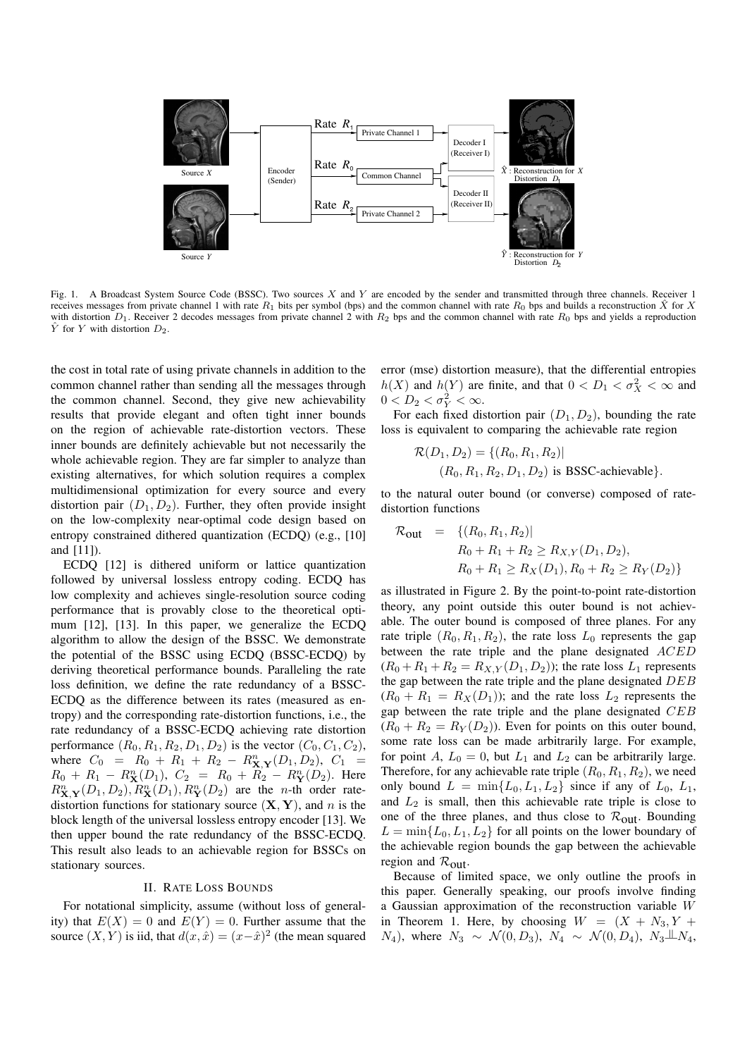

Fig. 1. A Broadcast System Source Code (BSSC). Two sources X and Y are encoded by the sender and transmitted through three channels. Receiver 1 receives messages from private channel 1 with rate  $R_1$  bits per symbol (bps) and the common channel with rate  $R_0$  bps and builds a reconstruction  $\hat{X}$  for X with distortion  $D_1$ . Receiver 2 decodes messages from private channel 2 with  $R_2$  bps and the common channel with rate  $R_0$  bps and yields a reproduction  $\hat{Y}$  for Y with distortion  $D_2$ .

the cost in total rate of using private channels in addition to the common channel rather than sending all the messages through the common channel. Second, they give new achievability results that provide elegant and often tight inner bounds on the region of achievable rate-distortion vectors. These inner bounds are definitely achievable but not necessarily the whole achievable region. They are far simpler to analyze than existing alternatives, for which solution requires a complex multidimensional optimization for every source and every distortion pair  $(D_1, D_2)$ . Further, they often provide insight on the low-complexity near-optimal code design based on entropy constrained dithered quantization (ECDQ) (e.g., [10] and [11]).

ECDQ [12] is dithered uniform or lattice quantization followed by universal lossless entropy coding. ECDQ has low complexity and achieves single-resolution source coding performance that is provably close to the theoretical optimum [12], [13]. In this paper, we generalize the ECDQ algorithm to allow the design of the BSSC. We demonstrate the potential of the BSSC using ECDQ (BSSC-ECDQ) by deriving theoretical performance bounds. Paralleling the rate loss definition, we define the rate redundancy of a BSSC-ECDQ as the difference between its rates (measured as entropy) and the corresponding rate-distortion functions, i.e., the rate redundancy of a BSSC-ECDQ achieving rate distortion performance  $(R_0, R_1, R_2, D_1, D_2)$  is the vector  $(C_0, C_1, C_2)$ , where  $C_0 = R_0 + R_1 + R_2 - R_{\mathbf{X},\mathbf{Y}}^n(D_1, D_2), C_1 = R_0 + R_1 - R^n(D_1)$   $C_2 = R_2 + R_3 - R^n(D_2)$  Here  $R_0 + R_1 - R_{\bf X}^n(D_1), C_2 = R_0 + R_2 - R_{\bf Y}^n(D_2)$ . Here  $R^n$  (D<sub>0</sub>),  $R^n$ (D<sub>0</sub>),  $R^n$ (D<sub>0</sub>) are the n-th order rate- $R_{\mathbf{X},\mathbf{Y}}^n(D_1, D_2), R_{\mathbf{X}}^n(D_1), R_{\mathbf{Y}}^n(D_2)$  are the *n*-th order rate-<br>distortion functions for stationary source  $(\mathbf{X}, \mathbf{Y})$  and *n* is the distortion functions for stationary source  $(X, Y)$ , and n is the block length of the universal lossless entropy encoder [13]. We then upper bound the rate redundancy of the BSSC-ECDQ. This result also leads to an achievable region for BSSCs on stationary sources.

## II. RATE LOSS BOUNDS

For notational simplicity, assume (without loss of generality) that  $E(X)=0$  and  $E(Y) = 0$ . Further assume that the source  $(X, Y)$  is iid, that  $d(x, \hat{x}) = (x-\hat{x})^2$  (the mean squared error (mse) distortion measure), that the differential entropies  $h(X)$  and  $h(Y)$  are finite, and that  $0 < D_1 < \sigma_X^2 < \infty$  and  $0 < D_2 < \sigma_X^2 < \infty$  $0 < D_2 < \sigma_Y^2 < \infty$ .<br>For each fixed div

For each fixed distortion pair  $(D_1, D_2)$ , bounding the rate loss is equivalent to comparing the achievable rate region

$$
\mathcal{R}(D_1, D_2) = \{(R_0, R_1, R_2) | (R_0, R_1, R_2, D_1, D_2) \text{ is BSSC-achievable}\}.
$$

to the natural outer bound (or converse) composed of ratedistortion functions

$$
\mathcal{R}_{\text{out}} = \{ (R_0, R_1, R_2) |
$$
  
\n
$$
R_0 + R_1 + R_2 \ge R_{X,Y}(D_1, D_2),
$$
  
\n
$$
R_0 + R_1 \ge R_X(D_1), R_0 + R_2 \ge R_Y(D_2) \}
$$

as illustrated in Figure 2. By the point-to-point rate-distortion theory, any point outside this outer bound is not achievable. The outer bound is composed of three planes. For any rate triple  $(R_0, R_1, R_2)$ , the rate loss  $L_0$  represents the gap between the rate triple and the plane designated ACED  $(R_0 + R_1 + R_2 = R_{X,Y}(D_1, D_2))$ ; the rate loss  $L_1$  represents the gap between the rate triple and the plane designated DEB  $(R_0 + R_1 = R_X(D_1))$ ; and the rate loss  $L_2$  represents the gap between the rate triple and the plane designated CEB  $(R_0 + R_2 = R_Y(D_2))$ . Even for points on this outer bound, some rate loss can be made arbitrarily large. For example, for point A,  $L_0 = 0$ , but  $L_1$  and  $L_2$  can be arbitrarily large. Therefore, for any achievable rate triple  $(R_0, R_1, R_2)$ , we need only bound  $L = \min\{L_0, L_1, L_2\}$  since if any of  $L_0$ ,  $L_1$ , and  $L_2$  is small, then this achievable rate triple is close to one of the three planes, and thus close to  $\mathcal{R}_{\text{out}}$ . Bounding  $L = \min\{L_0, L_1, L_2\}$  for all points on the lower boundary of the achievable region bounds the gap between the achievable region and  $\mathcal{R}_{\text{out}}$ .

Because of limited space, we only outline the proofs in this paper. Generally speaking, our proofs involve finding a Gaussian approximation of the reconstruction variable W in Theorem 1. Here, by choosing  $W = (X + N_3, Y +$  $N_4$ ), where  $N_3 \sim \mathcal{N}(0, D_3)$ ,  $N_4 \sim \mathcal{N}(0, D_4)$ ,  $N_3 \perp N_4$ ,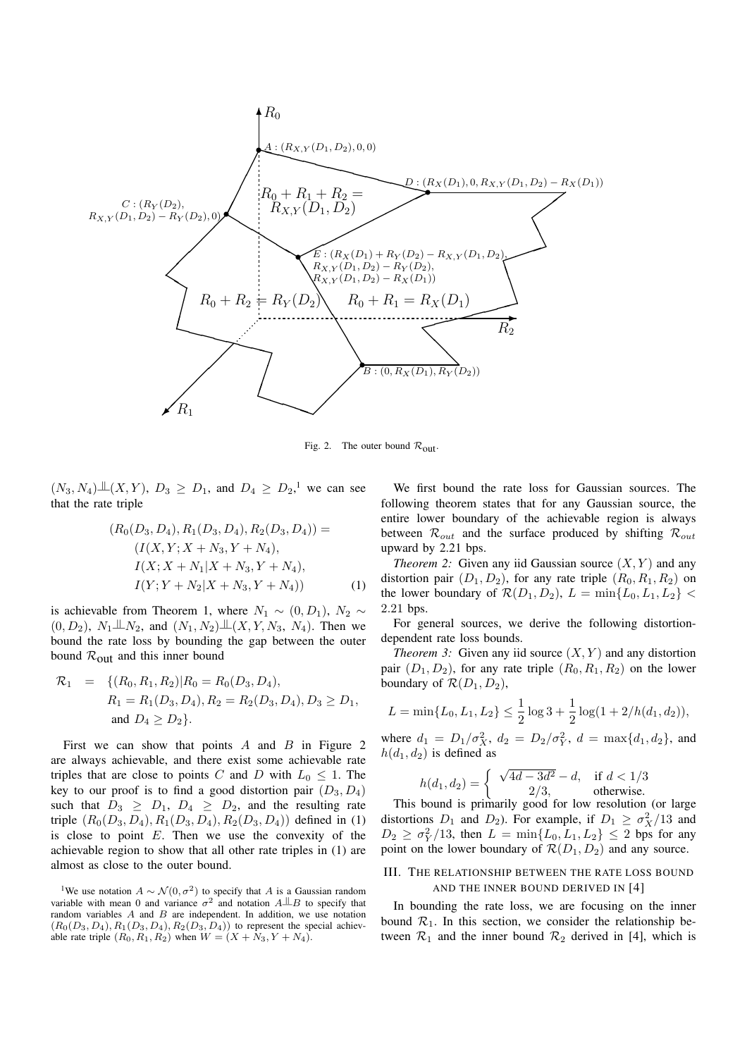

Fig. 2. The outer bound  $\mathcal{R}_{\text{out}}$ .

 $(N_3, N_4) \perp \perp (X, Y)$ ,  $D_3 \geq D_1$ , and  $D_4 \geq D_2$ ,<sup>1</sup> we can see that the rate triple

$$
(R_0(D_3, D_4), R_1(D_3, D_4), R_2(D_3, D_4)) =
$$
  
\n
$$
(I(X, Y; X + N_3, Y + N_4),
$$
  
\n
$$
I(X; X + N_1|X + N_3, Y + N_4),
$$
  
\n
$$
I(Y; Y + N_2|X + N_3, Y + N_4))
$$
\n(1)

is achievable from Theorem 1, where  $N_1 \sim (0, D_1)$ ,  $N_2 \sim$  $(0, D_2)$ ,  $N_1 \perp N_2$ , and  $(N_1, N_2) \perp (X, Y, N_3, N_4)$ . Then we hound the rate loss by bounding the gap between the outer bound the rate loss by bounding the gap between the outer bound  $\mathcal{R}_{\text{out}}$  and this inner bound

$$
\mathcal{R}_1 = \{ (R_0, R_1, R_2) | R_0 = R_0(D_3, D_4),
$$
  
\n
$$
R_1 = R_1(D_3, D_4), R_2 = R_2(D_3, D_4), D_3 \ge D_1,
$$
  
\nand  $D_4 \ge D_2 \}.$ 

First we can show that points  $A$  and  $B$  in Figure 2 are always achievable, and there exist some achievable rate triples that are close to points C and D with  $L_0 \leq 1$ . The key to our proof is to find a good distortion pair  $(D_3, D_4)$ such that  $D_3 \geq D_1$ ,  $D_4 \geq D_2$ , and the resulting rate triple  $(R_0(D_3, D_4), R_1(D_3, D_4), R_2(D_3, D_4))$  defined in (1) is close to point  $E$ . Then we use the convexity of the achievable region to show that all other rate triples in (1) are almost as close to the outer bound.

We first bound the rate loss for Gaussian sources. The following theorem states that for any Gaussian source, the entire lower boundary of the achievable region is always between R*out* and the surface produced by shifting R*out* upward by 2.21 bps.

*Theorem 2:* Given any iid Gaussian source  $(X, Y)$  and any distortion pair  $(D_1, D_2)$ , for any rate triple  $(R_0, R_1, R_2)$  on the lower boundary of  $\mathcal{R}(D_1, D_2)$ ,  $L = \min\{L_0, L_1, L_2\}$ 2.21 bps.

For general sources, we derive the following distortiondependent rate loss bounds.

*Theorem 3:* Given any iid source  $(X, Y)$  and any distortion pair  $(D_1, D_2)$ , for any rate triple  $(R_0, R_1, R_2)$  on the lower boundary of  $\mathcal{R}(D_1, D_2)$ ,

$$
L = \min\{L_0, L_1, L_2\} \le \frac{1}{2}\log 3 + \frac{1}{2}\log(1 + 2/h(d_1, d_2)),
$$

where  $d_1 = D_1/\sigma_X^2$ ,  $d_2 = D_2/\sigma_Y^2$ ,  $d = \max\{d_1, d_2\}$ , and  $b(d_1, d_2)$  is defined as  $h(d_1, d_2)$  is defined as

$$
h(d_1, d_2) = \begin{cases} \sqrt{4d - 3d^2} - d, & \text{if } d < 1/3\\ 2/3, & \text{otherwise.} \end{cases}
$$

 $\begin{array}{c} n(\alpha_1, \alpha_2) = \begin{cases} 2/3, & \text{otherwise.} \end{cases}$ <br>This bound is primarily good for low resolution (or large distortions  $D_1$  and  $D_2$ ). For example, if  $D_1 \ge \sigma_X^2/13$  and  $D_2 \ge \sigma_Y^2/13$  then  $L = \min_{\lambda} L_2 L_3 L_3 \le 2$  bus for any  $D_2 \geq \sigma_Y^2/13$ , then  $L = \min\{L_0, L_1, L_2\} \leq 2$  bps for any<br>point on the lower boundary of  $\mathcal{R}(D, D_2)$  and any source point on the lower boundary of  $\mathcal{R}(D_1, D_2)$  and any source.

# III. THE RELATIONSHIP BETWEEN THE RATE LOSS BOUND AND THE INNER BOUND DERIVED IN [4]

In bounding the rate loss, we are focusing on the inner bound  $\mathcal{R}_1$ . In this section, we consider the relationship between  $\mathcal{R}_1$  and the inner bound  $\mathcal{R}_2$  derived in [4], which is

<sup>&</sup>lt;sup>1</sup>We use notation  $A \sim \mathcal{N}(0, \sigma^2)$  to specify that A is a Gaussian random variable with mean 0 and variance  $\sigma^2$  and notation  $A \perp B$  to specify that random variables A and B are independent. In addition, we use notation  $(R_0(D_3, D_4), R_1(D_3, D_4), R_2(D_3, D_4))$  to represent the special achievable rate triple  $(R_0, R_1, R_2)$  when  $W = (X + N_3, Y + N_4)$ .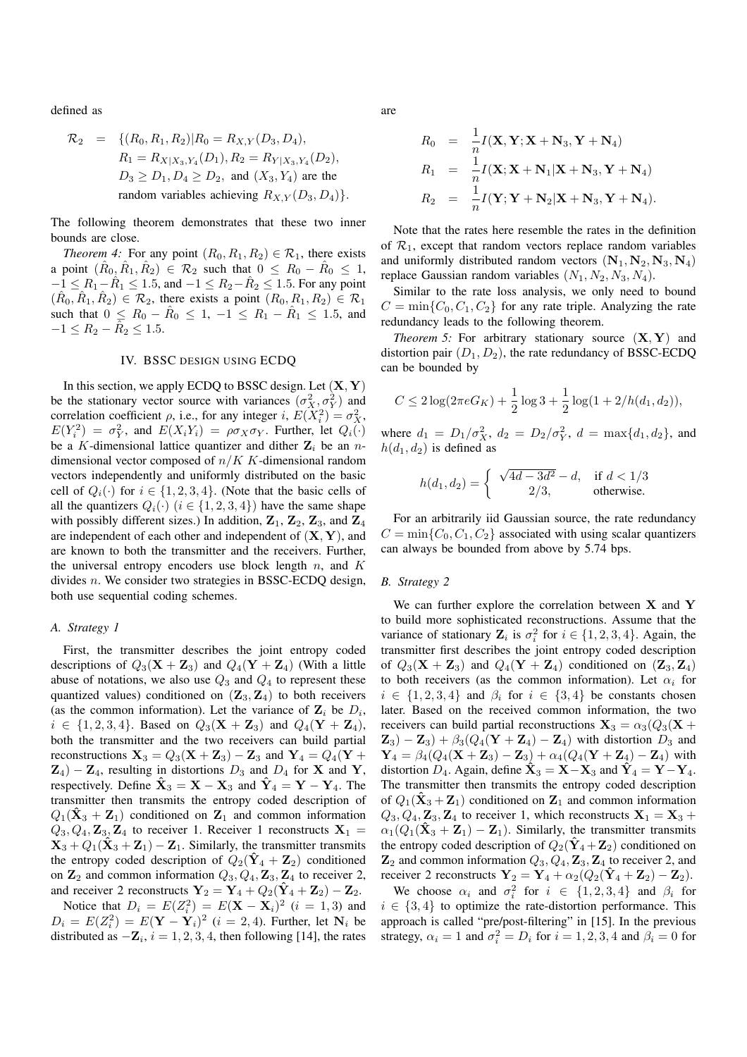defined as

$$
\mathcal{R}_2 = \{ (R_0, R_1, R_2) | R_0 = R_{X,Y}(D_3, D_4),
$$
  
\n
$$
R_1 = R_{X|X_3, Y_4}(D_1), R_2 = R_{Y|X_3, Y_4}(D_2),
$$
  
\n
$$
D_3 \ge D_1, D_4 \ge D_2, \text{ and } (X_3, Y_4) \text{ are the}
$$
  
\nrandom variables achieving  $R_{X,Y}(D_3, D_4) \}.$ 

The following theorem demonstrates that these two inner bounds are close.

*Theorem 4:* For any point  $(R_0, R_1, R_2) \in \mathcal{R}_1$ , there exists a point  $(\hat{R}_0, \hat{R}_1, \hat{R}_2) \in \mathcal{R}_2$  such that  $0 \leq R_0 - R_0 \leq 1$ ,  $-1 \le R_1 - \hat{R}_1 \le 1.5$ , and  $-1 \le R_2 - \hat{R}_2 \le 1.5$ . For any point  $(R_0, R_1, R_2) \in \mathcal{R}_2$ , there exists a point  $(R_0, R_1, R_2) \in \mathcal{R}_1$ such that  $0 \leq R_0 - \hat{R}_0 \leq 1, -1 \leq R_1 - \hat{R}_1 \leq 1.5$ , and  $-1 \le R_2 - \hat{R}_2 \le 1.5.$ 

## IV. BSSC DESIGN USING ECDQ

In this section, we apply ECDQ to BSSC design. Let (**X**, **<sup>Y</sup>**) be the stationary vector source with variances  $(\sigma_X^2, \sigma_Y^2)$  and correlation coefficient a i.e. for any integer  $i \in E(X^2) - \sigma^2$ correlation coefficient  $\rho$ , i.e., for any integer i,  $E(X_i^2) = \sigma_X^2$ ,<br> $E(Y^2) = \sigma^2$  and  $E(X_i, Y_i) = \sigma_X \sigma_X$ . Further, let  $Q_i(x)$  $E(Y_i^2) = \sigma_Y^2$ , and  $E(X_iY_i) = \rho \sigma_X \sigma_Y$ . Further, let  $Q_i(\cdot)$ <br>be a K-dimensional lattice quantizer and dither Z, be an *n*be a K-dimensional lattice quantizer and dither  $\mathbf{Z}_i$  be an ndimensional vector composed of  $n/K$  K-dimensional random vectors independently and uniformly distributed on the basic cell of  $Q_i(\cdot)$  for  $i \in \{1, 2, 3, 4\}$ . (Note that the basic cells of all the quantizers  $Q_i(\cdot)$  ( $i \in \{1, 2, 3, 4\}$ ) have the same shape with possibly different sizes.) In addition,  $\mathbf{Z}_1$ ,  $\mathbf{Z}_2$ ,  $\mathbf{Z}_3$ , and  $\mathbf{Z}_4$ are independent of each other and independent of (**X**, **<sup>Y</sup>**), and are known to both the transmitter and the receivers. Further, the universal entropy encoders use block length  $n$ , and  $K$ divides n. We consider two strategies in BSSC-ECDQ design, both use sequential coding schemes.

# *A. Strategy 1*

First, the transmitter describes the joint entropy coded descriptions of  $Q_3(\mathbf{X} + \mathbf{Z}_3)$  and  $Q_4(\mathbf{Y} + \mathbf{Z}_4)$  (With a little abuse of notations, we also use  $Q_3$  and  $Q_4$  to represent these quantized values) conditioned on  $(\mathbf{Z}_3, \mathbf{Z}_4)$  to both receivers (as the common information). Let the variance of  $\mathbf{Z}_i$  be  $D_i$ ,  $i \in \{1, 2, 3, 4\}$ . Based on  $Q_3(\mathbf{X} + \mathbf{Z}_3)$  and  $Q_4(\mathbf{Y} + \mathbf{Z}_4)$ , both the transmitter and the two receivers can build partial reconstructions  $X_3 = Q_3(X + Z_3) - Z_3$  and  $Y_4 = Q_4(Y + Z_4)$  $\mathbf{Z}_4$ ) −  $\mathbf{Z}_4$ , resulting in distortions  $D_3$  and  $D_4$  for **X** and **Y**, respectively. Define  $\mathbf{\hat{X}}_3 = \mathbf{X} - \mathbf{X}_3$  and  $\mathbf{\hat{Y}}_4 = \mathbf{Y} - \mathbf{Y}_4$ . The transmitter then transmits the entropy coded description of  $Q_1(\hat{\mathbf{X}}_3 + \mathbf{Z}_1)$  conditioned on  $\mathbf{Z}_1$  and common information  $Q_3, Q_4, \mathbf{Z}_3, \mathbf{Z}_4$  to receiver 1. Receiver 1 reconstructs  $\mathbf{X}_1 =$  $X_3 + Q_1(\hat{X}_3 + \mathbf{Z}_1) - \mathbf{Z}_1$ . Similarly, the transmitter transmits the entropy coded description of  $Q_2(\hat{Y}_4 + Z_2)$  conditioned on  $\mathbf{Z}_2$  and common information  $Q_3, Q_4, \mathbf{Z}_3, \mathbf{Z}_4$  to receiver 2, and receiver 2 reconstructs  $\mathbf{Y}_2 = \mathbf{Y}_4 + Q_2(\hat{\mathbf{Y}}_4 + \mathbf{Z}_2) - \mathbf{Z}_2$ .

Notice that  $D_i = E(Z_i^2) = E(\mathbf{X} - \mathbf{X}_i)^2$  (*i* = 1, 3) and<br>*i* =  $E(Z^2) = E(\mathbf{Y} - \mathbf{Y}_i)^2$  (*i* = 2.4) Further let N<sub>i</sub> be  $D_i = E(Z_i^2) = E(\mathbf{Y} - \mathbf{Y}_i)^2$  (*i* = 2, 4). Further, let  $\mathbf{N}_i$  be distributed as  $-\mathbf{Z}$ , *i* - 1, 2, 3, 4, then following [14], the rates distributed as  $-\mathbf{Z}_i$ ,  $i = 1, 2, 3, 4$ , then following [14], the rates are

$$
R_0 = \frac{1}{n}I(\mathbf{X}, \mathbf{Y}; \mathbf{X} + \mathbf{N}_3, \mathbf{Y} + \mathbf{N}_4)
$$
  
\n
$$
R_1 = \frac{1}{n}I(\mathbf{X}; \mathbf{X} + \mathbf{N}_1|\mathbf{X} + \mathbf{N}_3, \mathbf{Y} + \mathbf{N}_4)
$$
  
\n
$$
R_2 = \frac{1}{n}I(\mathbf{Y}; \mathbf{Y} + \mathbf{N}_2|\mathbf{X} + \mathbf{N}_3, \mathbf{Y} + \mathbf{N}_4).
$$

Note that the rates here resemble the rates in the definition of  $\mathcal{R}_1$ , except that random vectors replace random variables and uniformly distributed random vectors  $(N_1, N_2, N_3, N_4)$ replace Gaussian random variables  $(N_1, N_2, N_3, N_4)$ .

Similar to the rate loss analysis, we only need to bound  $C = \min\{C_0, C_1, C_2\}$  for any rate triple. Analyzing the rate redundancy leads to the following theorem.

*Theorem 5:* For arbitrary stationary source (**X**, **<sup>Y</sup>**) and distortion pair  $(D_1, D_2)$ , the rate redundancy of BSSC-ECDO can be bounded by

$$
C \le 2\log(2\pi e G_K) + \frac{1}{2}\log 3 + \frac{1}{2}\log(1 + 2/h(d_1, d_2)),
$$

where  $d_1 = D_1/\sigma_X^2$ ,  $d_2 = D_2/\sigma_Y^2$ ,  $d = \max\{d_1, d_2\}$ , and  $h(d_1, d_2)$  is defined as  $h(d_1, d_2)$  is defined as

$$
h(d_1, d_2) = \begin{cases} \sqrt{4d - 3d^2} - d, & \text{if } d < 1/3\\ 2/3, & \text{otherwise.} \end{cases}
$$

For an arbitrarily iid Gaussian source, the rate redundancy  $C = min\{C_0, C_1, C_2\}$  associated with using scalar quantizers can always be bounded from above by 5.74 bps.

#### *B. Strategy 2*

We can further explore the correlation between **X** and **Y** to build more sophisticated reconstructions. Assume that the variance of stationary  $\mathbf{Z}_i$  is  $\sigma_i^2$  for  $i \in \{1, 2, 3, 4\}$ . Again, the transmitter first describes the joint entropy coded description transmitter first describes the joint entropy coded description of  $Q_3(\mathbf{X} + \mathbf{Z}_3)$  and  $Q_4(\mathbf{Y} + \mathbf{Z}_4)$  conditioned on  $(\mathbf{Z}_3, \mathbf{Z}_4)$ to both receivers (as the common information). Let  $\alpha_i$  for  $i \in \{1, 2, 3, 4\}$  and  $\beta_i$  for  $i \in \{3, 4\}$  be constants chosen later. Based on the received common information, the two receivers can build partial reconstructions  $X_3 = \alpha_3(Q_3(X +$  $\mathbf{Z}_3$ ) –  $\mathbf{Z}_3$ ) +  $\beta_3(Q_4(\mathbf{Y} + \mathbf{Z}_4) - \mathbf{Z}_4)$  with distortion  $D_3$  and  $Y_4 = \beta_4(Q_4(X + Z_3) - Z_3) + \alpha_4(Q_4(Y + Z_4) - Z_4)$  with distortion  $D_4$ . Again, define  $\hat{\mathbf{X}}_3 = \mathbf{X} - \mathbf{X}_3$  and  $\hat{\mathbf{Y}}_4 = \mathbf{Y} - \mathbf{Y}_4$ . The transmitter then transmits the entropy coded description of  $Q_1(\hat{\mathbf{X}}_3 + \mathbf{Z}_1)$  conditioned on  $\mathbf{Z}_1$  and common information  $Q_3, Q_4, \mathbf{Z}_3, \mathbf{Z}_4$  to receiver 1, which reconstructs  $\mathbf{X}_1 = \mathbf{X}_3 + \mathbf{Z}_4$  $\alpha_1(Q_1(\hat{\mathbf{X}}_3 + \mathbf{Z}_1) - \mathbf{Z}_1)$ . Similarly, the transmitter transmits the entropy coded description of  $Q_2(\hat{Y}_4 + \mathbb{Z}_2)$  conditioned on  $\mathbf{Z}_2$  and common information  $Q_3, Q_4, \mathbf{Z}_3, \mathbf{Z}_4$  to receiver 2, and receiver 2 reconstructs  $\mathbf{Y}_2 = \mathbf{Y}_4 + \alpha_2(Q_2(\hat{\mathbf{Y}}_4 + \mathbf{Z}_2) - \mathbf{Z}_2).$ 

We choose  $\alpha_i$  and  $\sigma_i^2$  for  $i \in \{1, 2, 3, 4\}$  and  $\beta_i$  for  $i \in \{3, 4\}$  to optimize the rate-distortion performance. This  $i \in \{3, 4\}$  to optimize the rate-distortion performance. This approach is called "pre/post-filtering" in [15]. In the previous strategy,  $\alpha_i = 1$  and  $\sigma_i^2 = D_i$  for  $i = 1, 2, 3, 4$  and  $\beta_i = 0$  for